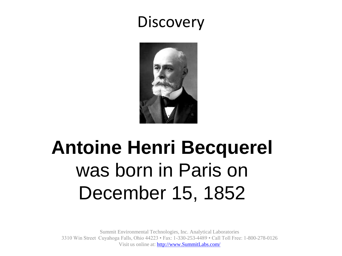#### **Discovery**



### **Antoine Henri Becquerel** was born in Paris on December 15, 1852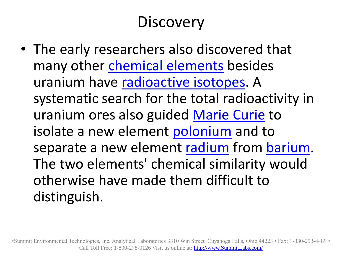#### **Discovery**

• The early researchers also discovered that many other [chemical elements](http://en.wikipedia.org/wiki/Chemical_element) besides uranium have [radioactive isotopes.](http://en.wikipedia.org/wiki/Radionuclide) A systematic search for the total radioactivity in uranium ores also guided [Marie Curie](http://en.wikipedia.org/wiki/Marie_Curie) to isolate a new element [polonium](http://en.wikipedia.org/wiki/Polonium) and to separate a new element [radium](http://en.wikipedia.org/wiki/Radium) from [barium.](http://en.wikipedia.org/wiki/Barium) The two elements' chemical similarity would otherwise have made them difficult to distinguish.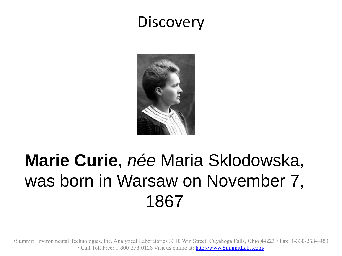#### **Discovery**



### **Marie Curie**, *née* Maria Sklodowska, was born in Warsaw on November 7, 1867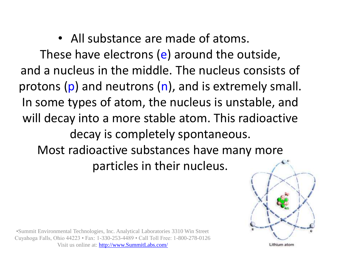#### • All substance are made of atoms.

These have electrons (e) around the outside, and a nucleus in the middle. The nucleus consists of protons (p) and neutrons (n), and is extremely small. In some types of atom, the nucleus is unstable, and will decay into a more stable atom. This radioactive decay is completely spontaneous. Most radioactive substances have many more particles in their nucleus.



•Summit Environmental Technologies, Inc. Analytical Laboratories 3310 Win Street Cuyahoga Falls, Ohio 44223 • Fax: 1-330-253-4489 • Call Toll Free: 1-800-278-0126 Visit us online at: [http://www.SummitLabs.com/](http://www.summitlabs.com/)

Lithium atom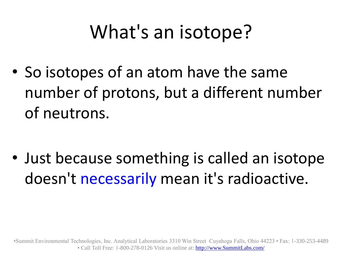# What's an isotope?

• So isotopes of an atom have the same number of protons, but a different number of neutrons.

• Just because something is called an isotope doesn't necessarily mean it's radioactive.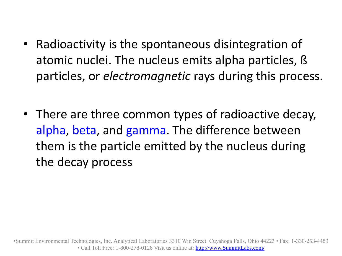- Radioactivity is the spontaneous disintegration of atomic nuclei. The nucleus emits alpha particles, ß particles, or *electromagnetic* rays during this process.
- There are three common types of radioactive decay, alpha, beta, and gamma. The difference between them is the particle emitted by the nucleus during the decay process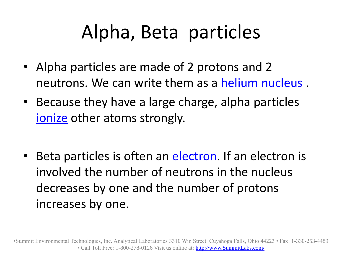### Alpha, Beta particles

- Alpha particles are made of 2 protons and 2 neutrons. We can write them as a helium nucleus .
- Because they have a large charge, alpha particles [ionize](http://home.clara.net/darvill/nucrad/ionise.htm) other atoms strongly.
- Beta particles is often an electron. If an electron is involved the number of neutrons in the nucleus decreases by one and the number of protons increases by one.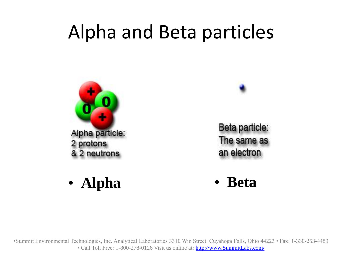### Alpha and Beta particles





Beta particle: The same as an electron

• **Alpha** • **Beta**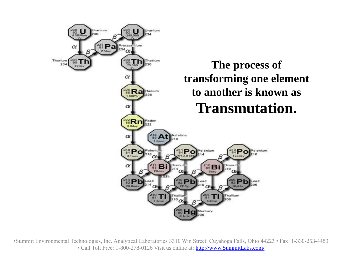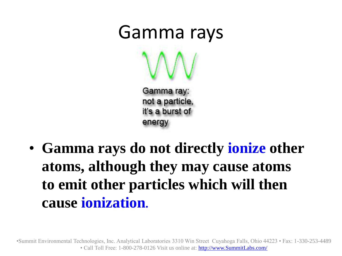

• **Gamma rays do not directly ionize other atoms, although they may cause atoms to emit other particles which will then cause ionization.**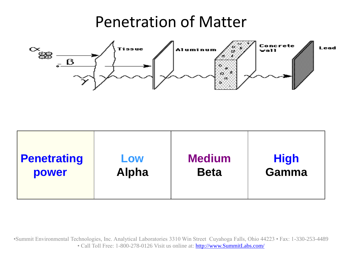#### Penetration of Matter



| <b>Penetrating</b><br>Low<br><b>Alpha</b><br>power | <b>Medium</b><br><b>Beta</b> | <b>High</b><br><b>Gamma</b> |
|----------------------------------------------------|------------------------------|-----------------------------|
|----------------------------------------------------|------------------------------|-----------------------------|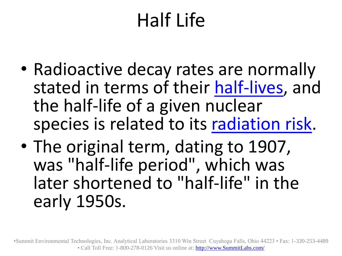# Half Life

- Radioactive decay rates are normally stated in terms of their [half-lives](http://hyperphysics.phy-astr.gsu.edu/hbase/nuclear/halfli.html), and the half-life of a given nuclear species is related to its [radiation risk.](http://hyperphysics.phy-astr.gsu.edu/hbase/nuclear/radrisk.html)
- The original term, dating to 1907, was "half-life period", which was later shortened to "half-life" in the early 1950s.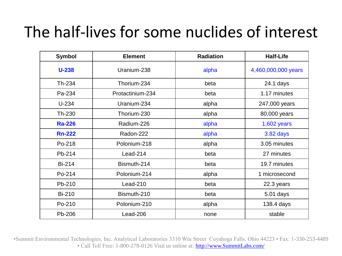#### The half-lives for some nuclides of interest

| <b>Symbol</b> | <b>Element</b>   | <b>Radiation</b> | <b>Half-Life</b>    |
|---------------|------------------|------------------|---------------------|
| $U-238$       | Uranium-238      | alpha            | 4,460,000,000 years |
| Th-234        | Thorium-234      | beta             | 24.1 days           |
| Pa-234        | Protactinium-234 | beta             | 1.17 minutes        |
| $U-234$       | Uranium-234      | alpha            | 247,000 years       |
| Th-230        | Thorium-230      | alpha            | 80,000 years        |
| <b>Ra-226</b> | Radium-226       | alpha            | $1,602$ years       |
| <b>Rn-222</b> | Radon-222        | alpha            | 3.82 days           |
| Po-218        | Polonium-218     | alpha            | 3.05 minutes        |
| Pb-214        | $Lead-214$       | beta             | 27 minutes          |
| <b>Bi-214</b> | Bismuth-214      | beta             | 19.7 minutes        |
| Po-214        | Polonium-214     | alpha            | 1 microsecond       |
| Pb-210        | $Lead-210$       | beta             | 22.3 years          |
| <b>Bi-210</b> | Bismuth-210      | beta             | 5.01 days           |
| Po-210        | Polonium-210     | alpha            | 138.4 days          |
| Pb-206        | Lead-206         | none             | stable              |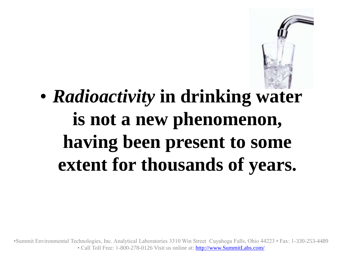

### • *Radioactivity* **in drinking water is not a new phenomenon, having been present to some extent for thousands of years.**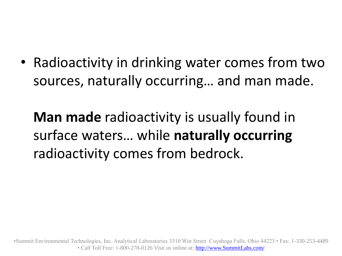• Radioactivity in drinking water comes from two sources, naturally occurring… and man made.

**Man made** radioactivity is usually found in surface waters… while **naturally occurring** radioactivity comes from bedrock.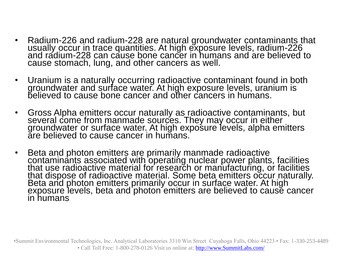- Radium-226 and radium-228 are natural groundwater contaminants that usually occur in trace quantities. At high exposure levels, radium-226 and radium-228 can cause bone cancer in humans and are believed to cause stomach, lung, and other cancers as well.
- Uranium is a naturally occurring radioactive contaminant found in both groundwater and surface water. At high exposure levels, uranium is believed to cause bone cancer and other cancers in humans.
- Gross Alpha emitters occur naturally as radioactive contaminants, but several come from manmade sources. They may occur in either groundwater or surface water. At high exposure levels, alpha emitters are believed to cause cancer in humans.
- Beta and photon emitters are primarily manmade radioactive contaminants associated with operating nuclear power plants, facilities that use radioactive material for research or manufacturing, or facilities that dispose of radioactive material. Some beta emitters occur naturally. Beta and photon emitters primarily occur in surface water. At high exposure levels, beta and photon emitters are believed to cause cancer in humans.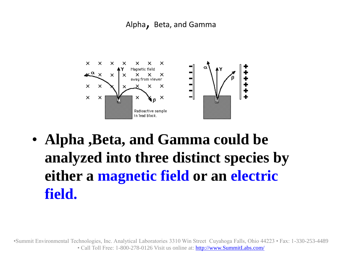#### Alpha, Beta, and Gamma



• **Alpha ,Beta, and Gamma could be analyzed into three distinct species by either a magnetic field or an electric field.**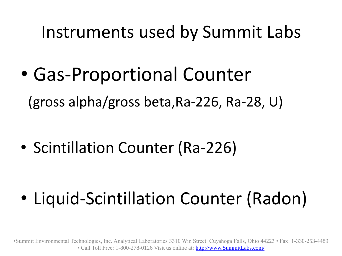Instruments used by Summit Labs

• Gas-Proportional Counter (gross alpha/gross beta,Ra-226, Ra-28, U)

• Scintillation Counter (Ra-226)

• Liquid-Scintillation Counter (Radon)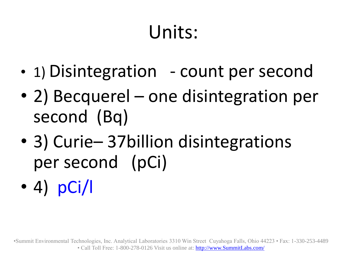# Units:

- 1) Disintegration count per second
- 2) Becquerel one disintegration per second (Bq)
- 3) Curie– 37 billion disintegrations per second (pCi)
- 4) pCi/l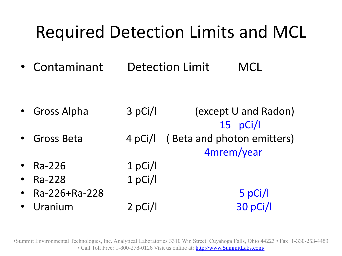### Required Detection Limits and MCL

• Contaminant Detection Limit MCL

• Gross Alpha 3 pCi/l (except U and Radon) 15 pCi/l Gross Beta 4 pCi/l ( Beta and photon emitters) 4mrem/year • Ra-226 1 pCi/l • Ra-228 1 pCi/l • Ra-226+Ra-228 5 pCi/l • Uranium 2 pCi/l 30 pCi/l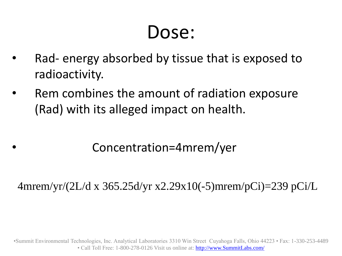### Dose:

- Rad- energy absorbed by tissue that is exposed to radioactivity.
- Rem combines the amount of radiation exposure (Rad) with its alleged impact on health.

#### • Concentration=4mrem/yer

4mrem/yr/(2L/d x 365.25d/yr x2.29x10(-5)mrem/pCi)=239 pCi/L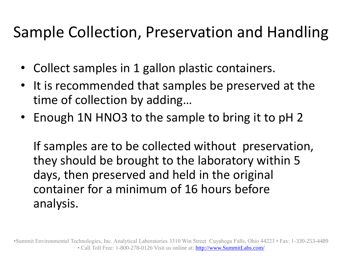#### Sample Collection, Preservation and Handling

- Collect samples in 1 gallon plastic containers.
- It is recommended that samples be preserved at the time of collection by adding…
- Enough 1N HNO3 to the sample to bring it to pH 2

If samples are to be collected without preservation, they should be brought to the laboratory within 5 days, then preserved and held in the original container for a minimum of 16 hours before analysis.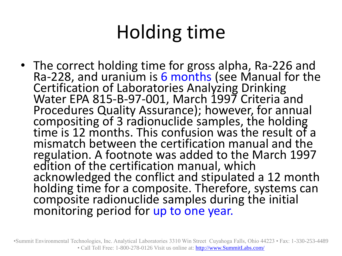# Holding time

• The correct holding time for gross alpha, Ra-226 and Ra-228, and uranium is 6 months (see Manual for the Certification of Laboratories Analyzing Drinking Water EPA 815-B-97-001, March 1997 Criteria and Procedures Quality Assurance); however, for annual compositing of 3 radionuclide samples, the holding time is 12 months. This confusion was the result of a mismatch between the certification manual and the regulation. A footnote was added to the March 1997 edition of the certification manual, which acknowledged the conflict and stipulated a 12 month holding time for a composite. Therefore, systems can composite radionuclide samples during the initial monitoring period for up to one year.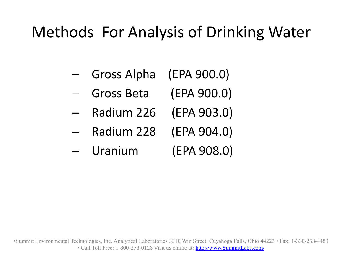#### Methods For Analysis of Drinking Water

- Gross Alpha (EPA 900.0)
- Gross Beta (EPA 900.0)
- Radium 226 (EPA 903.0)
- Radium 228 (EPA 904.0)
- Uranium (EPA 908.0)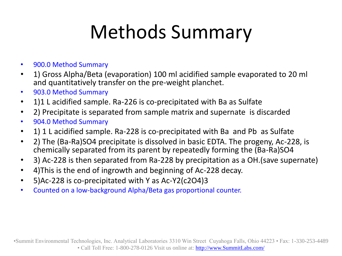# Methods Summary

- 900.0 Method Summary
- 1) Gross Alpha/Beta (evaporation) 100 ml acidified sample evaporated to 20 ml and quantitatively transfer on the pre-weight planchet.
- 903.0 Method Summary
- 1)1 L acidified sample. Ra-226 is co-precipitated with Ba as Sulfate
- 2) Precipitate is separated from sample matrix and supernate is discarded
- 904.0 Method Summary
- 1) 1 L acidified sample. Ra-228 is co-precipitated with Ba and Pb as Sulfate
- 2) The (Ba-Ra)SO4 precipitate is dissolved in basic EDTA. The progeny, Ac-228, is chemically separated from its parent by repeatedly forming the (Ba-Ra)SO4
- 3) Ac-228 is then separated from Ra-228 by precipitation as a OH.(save supernate)
- 4)This is the end of ingrowth and beginning of Ac-228 decay.
- 5)Ac-228 is co-precipitated with Y as Ac-Y2(c2O4)3
- Counted on a low-background Alpha/Beta gas proportional counter.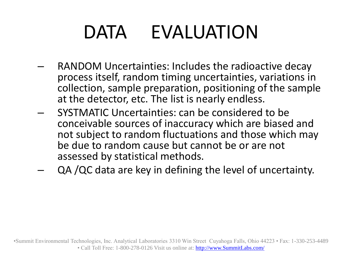# DATA EVALUATION

- RANDOM Uncertainties: Includes the radioactive decay process itself, random timing uncertainties, variations in collection, sample preparation, positioning of the sample at the detector, etc. The list is nearly endless.
- SYSTMATIC Uncertainties: can be considered to be conceivable sources of inaccuracy which are biased and not subject to random fluctuations and those which may be due to random cause but cannot be or are not assessed by statistical methods.
- QA /QC data are key in defining the level of uncertainty.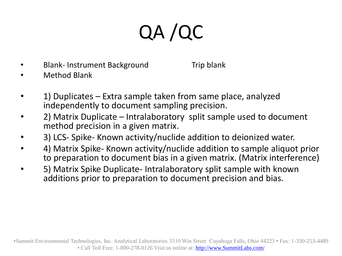# QA /QC

• Blank- Instrument Background Trip blank

- Method Blank
- 1) Duplicates Extra sample taken from same place, analyzed independently to document sampling precision.
- 2) Matrix Duplicate Intralaboratory split sample used to document method precision in a given matrix.
- 3) LCS- Spike- Known activity/nuclide addition to deionized water.
- 4) Matrix Spike- Known activity/nuclide addition to sample aliquot prior to preparation to document bias in a given matrix. (Matrix interference)
- 5) Matrix Spike Duplicate- Intralaboratory split sample with known additions prior to preparation to document precision and bias.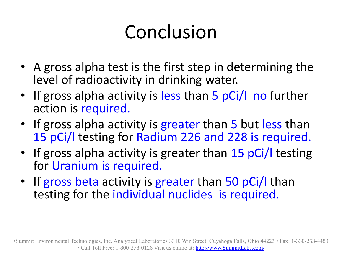# Conclusion

- A gross alpha test is the first step in determining the level of radioactivity in drinking water.
- If gross alpha activity is less than 5 pCi/l no further action is required.
- If gross alpha activity is greater than 5 but less than 15 pCi/l testing for Radium 226 and 228 is required.
- If gross alpha activity is greater than 15 pCi/l testing for Uranium is required.
- If gross beta activity is greater than 50 pCi/l than testing for the individual nuclides is required.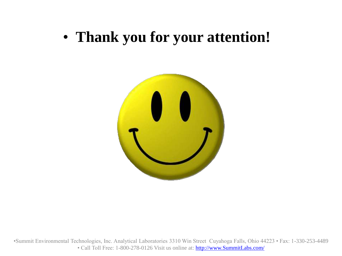#### • **Thank you for your attention!**